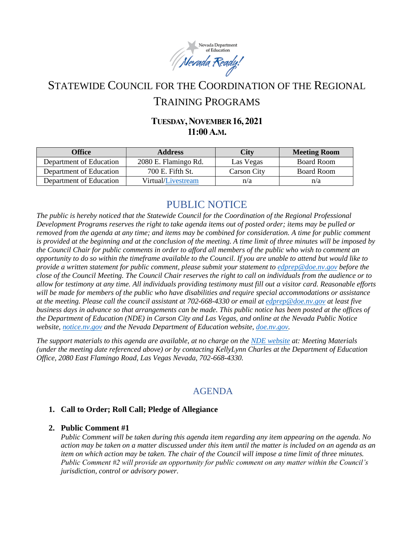

# STATEWIDE COUNCIL FOR THE COORDINATION OF THE REGIONAL TRAINING PROGRAMS

## **TUESDAY,NOVEMBER 16,2021 11:00A.M.**

| <b>Office</b>           | <b>Address</b>       | <b>City</b> | <b>Meeting Room</b> |
|-------------------------|----------------------|-------------|---------------------|
| Department of Education | 2080 E. Flamingo Rd. | Las Vegas   | Board Room          |
| Department of Education | 700 E. Fifth St.     | Carson City | Board Room          |
| Department of Education | Virtual/Livestream   | n/a         | n/a                 |

## PUBLIC NOTICE

*The public is hereby noticed that the Statewide Council for the Coordination of the Regional Professional Development Programs reserves the right to take agenda items out of posted order; items may be pulled or removed from the agenda at any time; and items may be combined for consideration. A time for public comment is provided at the beginning and at the conclusion of the meeting. A time limit of three minutes will be imposed by the Council Chair for public comments in order to afford all members of the public who wish to comment an opportunity to do so within the timeframe available to the Council. If you are unable to attend but would like to provide a written statement for public comment, please submit your statement to [edprep@doe.nv.gov](mailto:edprep@doe.nv.gov) before the close of the Council Meeting. The Council Chair reserves the right to call on individuals from the audience or to allow for testimony at any time. All individuals providing testimony must fill out a visitor card. Reasonable efforts will be made for members of the public who have disabilities and require special accommodations or assistance at the meeting. Please call the council assistant at 702-668-4330 or email at [edprep@doe.nv.gov](mailto:edprep@doe.nv.gov) at least five business days in advance so that arrangements can be made. This public notice has been posted at the offices of the Department of Education (NDE) in Carson City and Las Vegas, and online at the Nevada Public Notice website, [notice.nv.gov](https://notice.nv.gov/) and the Nevada Department of Education website[, doe.nv.gov.](https://doe.nv.gov/Boards_Commissions_Councils/Statewide_Council_Reg_Training/RPDP/)* 

*The support materials to this agenda are available, at no charge on the [NDE website](https://doe.nv.gov/Boards_Commissions_Councils/Statewide_Council_Reg_Training/Meeting_Materials/) at: Meeting Materials (under the meeting date referenced above) or by contacting KellyLynn Charles at the Department of Education Office, 2080 East Flamingo Road, Las Vegas Nevada, 702-668-4330.* 

## AGENDA

#### **1. Call to Order; Roll Call; Pledge of Allegiance**

#### **2. Public Comment #1**

*Public Comment will be taken during this agenda item regarding any item appearing on the agenda. No action may be taken on a matter discussed under this item until the matter is included on an agenda as an item on which action may be taken. The chair of the Council will impose a time limit of three minutes. Public Comment #2 will provide an opportunity for public comment on any matter within the Council's jurisdiction, control or advisory power.*